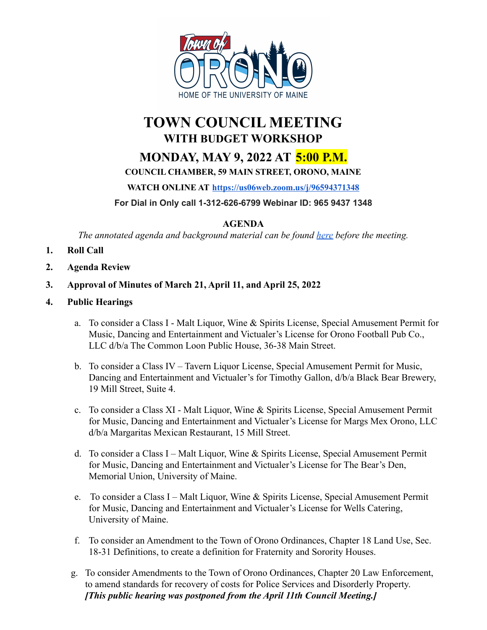

# **TOWN COUNCIL MEETING WITH BUDGET WORKSHOP**

# **MONDAY, MAY 9, 2022 AT 5:00 P.M.**

#### **COUNCIL CHAMBER, 59 MAIN STREET, ORONO, MAINE**

**WATCH ONLINE AT <https://us06web.zoom.us/j/96594371348>**

**For Dial in Only call 1-312-626-6799 Webinar ID: 965 9437 1348**

**AGENDA**

*The annotated agenda and background material can be found [here](https://drive.google.com/drive/u/0/folders/1Uktt8mSYJQ-IvYEArX_zFoCBcGnKEGjf) before the meeting.*

- **1. Roll Call**
- **2. Agenda Review**
- **3. Approval of Minutes of March 21, April 11, and April 25, 2022**
- **4. Public Hearings**
	- a. To consider a Class I Malt Liquor, Wine & Spirits License, Special Amusement Permit for Music, Dancing and Entertainment and Victualer's License for Orono Football Pub Co., LLC d/b/a The Common Loon Public House, 36-38 Main Street.
	- b. To consider a Class IV Tavern Liquor License, Special Amusement Permit for Music, Dancing and Entertainment and Victualer's for Timothy Gallon, d/b/a Black Bear Brewery, 19 Mill Street, Suite 4.
	- c. To consider a Class XI Malt Liquor, Wine & Spirits License, Special Amusement Permit for Music, Dancing and Entertainment and Victualer's License for Margs Mex Orono, LLC d/b/a Margaritas Mexican Restaurant, 15 Mill Street.
	- d. To consider a Class I Malt Liquor, Wine & Spirits License, Special Amusement Permit for Music, Dancing and Entertainment and Victualer's License for The Bear's Den, Memorial Union, University of Maine.
	- e. To consider a Class I Malt Liquor, Wine & Spirits License, Special Amusement Permit for Music, Dancing and Entertainment and Victualer's License for Wells Catering, University of Maine.
	- f. To consider an Amendment to the Town of Orono Ordinances, Chapter 18 Land Use, Sec. 18-31 Definitions, to create a definition for Fraternity and Sorority Houses.
	- g. To consider Amendments to the Town of Orono Ordinances, Chapter 20 Law Enforcement, to amend standards for recovery of costs for Police Services and Disorderly Property. *[This public hearing was postponed from the April 11th Council Meeting.]*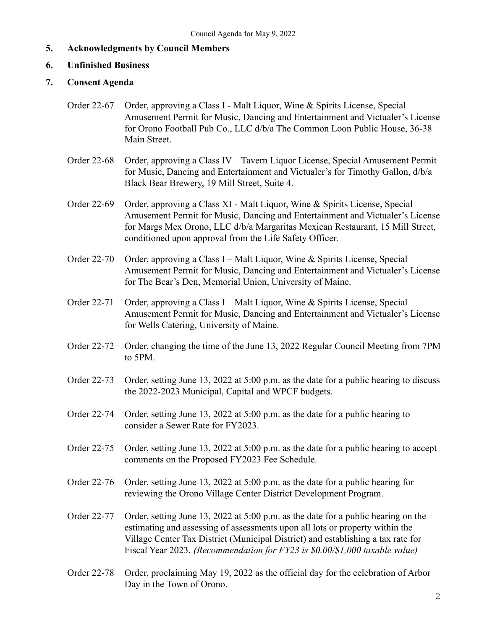#### **5. Acknowledgments by Council Members**

#### **6. Unfinished Business**

#### **7. Consent Agenda**

- Order 22-67 Order, approving a Class I Malt Liquor, Wine & Spirits License, Special Amusement Permit for Music, Dancing and Entertainment and Victualer's License for Orono Football Pub Co., LLC d/b/a The Common Loon Public House, 36-38 Main Street.
- Order 22-68 Order, approving a Class IV Tavern Liquor License, Special Amusement Permit for Music, Dancing and Entertainment and Victualer's for Timothy Gallon, d/b/a Black Bear Brewery, 19 Mill Street, Suite 4.
- Order 22-69 Order, approving a Class XI Malt Liquor, Wine & Spirits License, Special Amusement Permit for Music, Dancing and Entertainment and Victualer's License for Margs Mex Orono, LLC d/b/a Margaritas Mexican Restaurant, 15 Mill Street, conditioned upon approval from the Life Safety Officer.
- Order 22-70 Order, approving a Class I Malt Liquor, Wine & Spirits License, Special Amusement Permit for Music, Dancing and Entertainment and Victualer's License for The Bear's Den, Memorial Union, University of Maine.
- Order 22-71 Order, approving a Class I Malt Liquor, Wine & Spirits License, Special Amusement Permit for Music, Dancing and Entertainment and Victualer's License for Wells Catering, University of Maine.
- Order 22-72 Order, changing the time of the June 13, 2022 Regular Council Meeting from 7PM to 5PM.
- Order 22-73 Order, setting June 13, 2022 at 5:00 p.m. as the date for a public hearing to discuss the 2022-2023 Municipal, Capital and WPCF budgets.
- Order 22-74 Order, setting June 13, 2022 at 5:00 p.m. as the date for a public hearing to consider a Sewer Rate for FY2023.
- Order 22-75 Order, setting June 13, 2022 at 5:00 p.m. as the date for a public hearing to accept comments on the Proposed FY2023 Fee Schedule.
- Order 22-76 Order, setting June 13, 2022 at 5:00 p.m. as the date for a public hearing for reviewing the Orono Village Center District Development Program.
- Order 22-77 Order, setting June 13, 2022 at 5:00 p.m. as the date for a public hearing on the estimating and assessing of assessments upon all lots or property within the Village Center Tax District (Municipal District) and establishing a tax rate for Fiscal Year 2023. *(Recommendation for FY23 is \$0.00/\$1,000 taxable value)*
- Order 22-78 Order, proclaiming May 19, 2022 as the official day for the celebration of Arbor Day in the Town of Orono.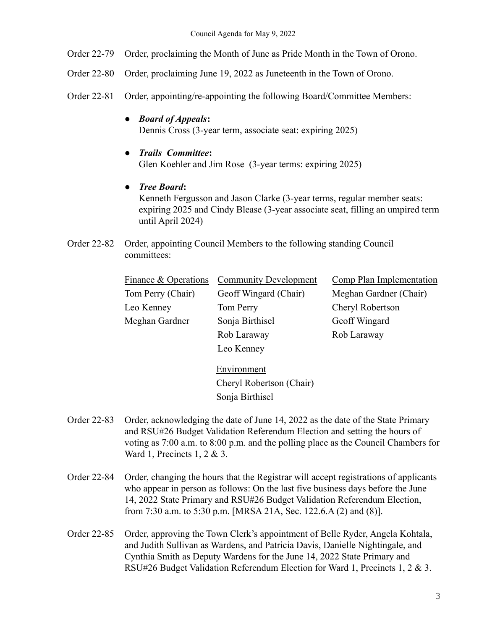- Order 22-79 Order, proclaiming the Month of June as Pride Month in the Town of Orono.
- Order 22-80 Order, proclaiming June 19, 2022 as Juneteenth in the Town of Orono.
- Order 22-81 Order, appointing/re-appointing the following Board/Committee Members:
	- **●** *Board of Appeals***:** Dennis Cross (3-year term, associate seat: expiring 2025)
	- **●** *Trails Committee***:** Glen Koehler and Jim Rose (3-year terms: expiring 2025)
	- **●** *Tree Board***:**

Kenneth Fergusson and Jason Clarke (3-year terms, regular member seats: expiring 2025 and Cindy Blease (3-year associate seat, filling an umpired term until April 2024)

Order 22-82 Order, appointing Council Members to the following standing Council committees:

| Finance & Operations | <b>Community Development</b>                | <b>Comp Plan Implementation</b> |
|----------------------|---------------------------------------------|---------------------------------|
| Tom Perry (Chair)    | Geoff Wingard (Chair)                       | Meghan Gardner (Chair)          |
| Leo Kenney           | Tom Perry                                   | Cheryl Robertson                |
| Meghan Gardner       | Sonja Birthisel                             | Geoff Wingard                   |
|                      | Rob Laraway                                 | Rob Laraway                     |
|                      | Leo Kenney                                  |                                 |
|                      | $\Gamma_{\text{rel}}$ . The set of $\Gamma$ |                                 |

**Environment** Cheryl Robertson (Chair) Sonja Birthisel

- Order 22-83 Order, acknowledging the date of June 14, 2022 as the date of the State Primary and RSU#26 Budget Validation Referendum Election and setting the hours of voting as 7:00 a.m. to 8:00 p.m. and the polling place as the Council Chambers for Ward 1, Precincts 1, 2 & 3.
- Order 22-84 Order, changing the hours that the Registrar will accept registrations of applicants who appear in person as follows: On the last five business days before the June 14, 2022 State Primary and RSU#26 Budget Validation Referendum Election, from 7:30 a.m. to 5:30 p.m. [MRSA 21A, Sec. 122.6.A (2) and (8)].
- Order 22-85 Order, approving the Town Clerk's appointment of Belle Ryder, Angela Kohtala, and Judith Sullivan as Wardens, and Patricia Davis, Danielle Nightingale, and Cynthia Smith as Deputy Wardens for the June 14, 2022 State Primary and RSU#26 Budget Validation Referendum Election for Ward 1, Precincts 1, 2 & 3.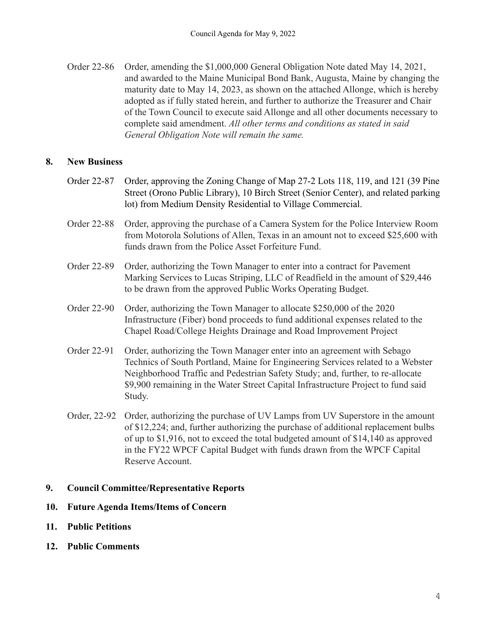Order 22-86 Order, amending the \$1,000,000 General Obligation Note dated May 14, 2021, and awarded to the Maine Municipal Bond Bank, Augusta, Maine by changing the maturity date to May 14, 2023, as shown on the attached Allonge, which is hereby adopted as if fully stated herein, and further to authorize the Treasurer and Chair of the Town Council to execute said Allonge and all other documents necessary to complete said amendment. *All other terms and conditions as stated in said General Obligation Note will remain the same.*

#### **8. New Business**

- Order 22-87 Order, approving the Zoning Change of Map 27-2 Lots 118, 119, and 121 (39 Pine Street (Orono Public Library), 10 Birch Street (Senior Center), and related parking lot) from Medium Density Residential to Village Commercial.
- Order 22-88 Order, approving the purchase of a Camera System for the Police Interview Room from Motorola Solutions of Allen, Texas in an amount not to exceed \$25,600 with funds drawn from the Police Asset Forfeiture Fund.
- Order 22-89 Order, authorizing the Town Manager to enter into a contract for Pavement Marking Services to Lucas Striping, LLC of Readfield in the amount of \$29,446 to be drawn from the approved Public Works Operating Budget.
- Order 22-90 Order, authorizing the Town Manager to allocate \$250,000 of the 2020 Infrastructure (Fiber) bond proceeds to fund additional expenses related to the Chapel Road/College Heights Drainage and Road Improvement Project
- Order 22-91 Order, authorizing the Town Manager enter into an agreement with Sebago Technics of South Portland, Maine for Engineering Services related to a Webster Neighborhood Traffic and Pedestrian Safety Study; and, further, to re-allocate \$9,900 remaining in the Water Street Capital Infrastructure Project to fund said Study.
- Order, 22-92 Order, authorizing the purchase of UV Lamps from UV Superstore in the amount of \$12,224; and, further authorizing the purchase of additional replacement bulbs of up to \$1,916, not to exceed the total budgeted amount of \$14,140 as approved in the FY22 WPCF Capital Budget with funds drawn from the WPCF Capital Reserve Account.

#### **9. Council Committee/Representative Reports**

- **10. Future Agenda Items/Items of Concern**
- **11. Public Petitions**
- **12. Public Comments**